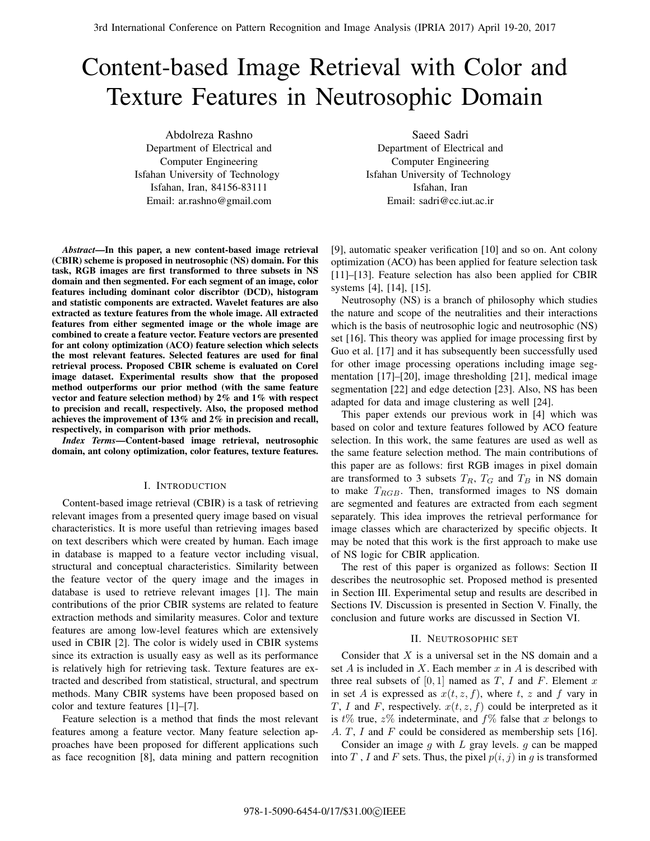# Content-based Image Retrieval with Color and Texture Features in Neutrosophic Domain

Abdolreza Rashno Department of Electrical and Computer Engineering Isfahan University of Technology Isfahan, Iran, 84156-83111 Email: ar.rashno@gmail.com

*Abstract*—In this paper, a new content-based image retrieval (CBIR) scheme is proposed in neutrosophic (NS) domain. For this task, RGB images are first transformed to three subsets in NS domain and then segmented. For each segment of an image, color features including dominant color discribtor (DCD), histogram and statistic components are extracted. Wavelet features are also extracted as texture features from the whole image. All extracted features from either segmented image or the whole image are combined to create a feature vector. Feature vectors are presented for ant colony optimization (ACO) feature selection which selects the most relevant features. Selected features are used for final retrieval process. Proposed CBIR scheme is evaluated on Corel image dataset. Experimental results show that the proposed method outperforms our prior method (with the same feature vector and feature selection method) by 2% and 1% with respect to precision and recall, respectively. Also, the proposed method achieves the improvement of 13% and 2% in precision and recall, respectively, in comparison with prior methods.

*Index Terms*—Content-based image retrieval, neutrosophic domain, ant colony optimization, color features, texture features.

# I. INTRODUCTION

Content-based image retrieval (CBIR) is a task of retrieving relevant images from a presented query image based on visual characteristics. It is more useful than retrieving images based on text describers which were created by human. Each image in database is mapped to a feature vector including visual, structural and conceptual characteristics. Similarity between the feature vector of the query image and the images in database is used to retrieve relevant images [1]. The main contributions of the prior CBIR systems are related to feature extraction methods and similarity measures. Color and texture features are among low-level features which are extensively used in CBIR [2]. The color is widely used in CBIR systems since its extraction is usually easy as well as its performance is relatively high for retrieving task. Texture features are extracted and described from statistical, structural, and spectrum methods. Many CBIR systems have been proposed based on color and texture features [1]–[7].

Feature selection is a method that finds the most relevant features among a feature vector. Many feature selection approaches have been proposed for different applications such as face recognition [8], data mining and pattern recognition

Saeed Sadri Department of Electrical and Computer Engineering Isfahan University of Technology Isfahan, Iran Email: sadri@cc.iut.ac.ir

[9], automatic speaker verification [10] and so on. Ant colony optimization (ACO) has been applied for feature selection task [11]–[13]. Feature selection has also been applied for CBIR systems [4], [14], [15].

Neutrosophy (NS) is a branch of philosophy which studies the nature and scope of the neutralities and their interactions which is the basis of neutrosophic logic and neutrosophic (NS) set [16]. This theory was applied for image processing first by Guo et al. [17] and it has subsequently been successfully used for other image processing operations including image segmentation [17]–[20], image thresholding [21], medical image segmentation [22] and edge detection [23]. Also, NS has been adapted for data and image clustering as well [24].

This paper extends our previous work in [4] which was based on color and texture features followed by ACO feature selection. In this work, the same features are used as well as the same feature selection method. The main contributions of this paper are as follows: first RGB images in pixel domain are transformed to 3 subsets  $T_R$ ,  $T_G$  and  $T_B$  in NS domain to make  $T_{RGB}$ . Then, transformed images to NS domain are segmented and features are extracted from each segment separately. This idea improves the retrieval performance for image classes which are characterized by specific objects. It may be noted that this work is the first approach to make use of NS logic for CBIR application.

The rest of this paper is organized as follows: Section II describes the neutrosophic set. Proposed method is presented in Section III. Experimental setup and results are described in Sections IV. Discussion is presented in Section V. Finally, the conclusion and future works are discussed in Section VI.

# II. NEUTROSOPHIC SET

Consider that  $X$  is a universal set in the NS domain and a set A is included in X. Each member  $x$  in A is described with three real subsets of [0, 1] named as T, I and F. Element x in set A is expressed as  $x(t, z, f)$ , where t, z and f vary in T, I and F, respectively.  $x(t, z, f)$  could be interpreted as it is  $t\%$  true,  $z\%$  indeterminate, and  $f\%$  false that x belongs to A. T, I and F could be considered as membership sets [16].

Consider an image  $q$  with  $L$  gray levels.  $q$  can be mapped into T, I and F sets. Thus, the pixel  $p(i, j)$  in g is transformed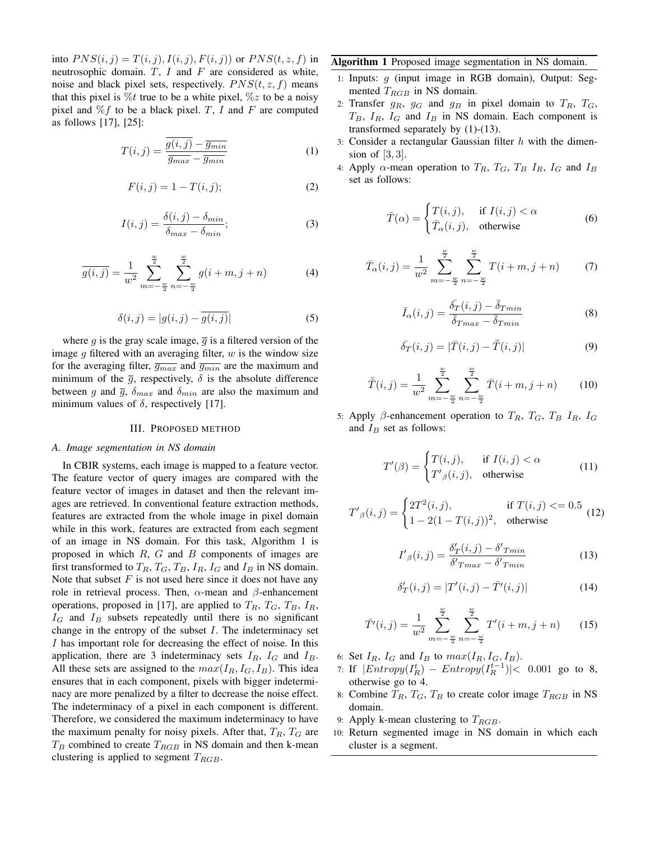into  $PNS(i, j) = T(i, j), I(i, j), F(i, j)$  or  $PNS(t, z, f)$  in neutrosophic domain.  $T$ ,  $I$  and  $F$  are considered as white, noise and black pixel sets, respectively.  $P NS(t, z, f)$  means that this pixel is  $\%t$  true to be a white pixel,  $\%z$  to be a noisy pixel and  $\%f$  to be a black pixel. T, I and F are computed as follows [17], [25]:

$$
T(i,j) = \frac{\overline{g(i,j)} - \overline{g_{min}}}{\overline{g_{max}} - \overline{g_{min}}}
$$
(1)

$$
F(i,j) = 1 - T(i,j); \t\t(2)
$$

$$
I(i,j) = \frac{\delta(i,j) - \delta_{min}}{\delta_{max} - \delta_{min}};
$$
\n(3)

$$
\overline{g(i,j)} = \frac{1}{w^2} \sum_{m=-\frac{w}{2}}^{\frac{w}{2}} \sum_{n=-\frac{w}{2}}^{\frac{w}{2}} g(i+m, j+n)
$$
(4)

$$
\delta(i,j) = |g(i,j) - \overline{g(i,j)}|
$$
\n(5)

where g is the gray scale image,  $\overline{g}$  is a filtered version of the image  $g$  filtered with an averaging filter,  $w$  is the window size for the averaging filter,  $\overline{g_{max}}$  and  $\overline{g_{min}}$  are the maximum and minimum of the  $\bar{g}$ , respectively,  $\delta$  is the absolute difference between g and  $\bar{g}$ ,  $\delta_{max}$  and  $\delta_{min}$  are also the maximum and minimum values of  $\delta$ , respectively [17].

#### III. PROPOSED METHOD

## *A. Image segmentation in NS domain*

In CBIR systems, each image is mapped to a feature vector. The feature vector of query images are compared with the feature vector of images in dataset and then the relevant images are retrieved. In conventional feature extraction methods, features are extracted from the whole image in pixel domain while in this work, features are extracted from each segment of an image in NS domain. For this task, Algorithm 1 is proposed in which  $R$ ,  $G$  and  $B$  components of images are first transformed to  $T_R$ ,  $T_G$ ,  $T_B$ ,  $I_R$ ,  $I_G$  and  $I_B$  in NS domain. Note that subset  $F$  is not used here since it does not have any role in retrieval process. Then,  $α$ -mean and  $β$ -enhancement operations, proposed in [17], are applied to  $T_R$ ,  $T_G$ ,  $T_B$ ,  $I_R$ ,  $I_G$  and  $I_B$  subsets repeatedly until there is no significant change in the entropy of the subset  $I$ . The indeterminacy set I has important role for decreasing the effect of noise. In this application, there are 3 indeterminacy sets  $I_R$ ,  $I_G$  and  $I_B$ . All these sets are assigned to the  $max(I_R, I_G, I_B)$ . This idea ensures that in each component, pixels with bigger indeterminacy are more penalized by a filter to decrease the noise effect. The indeterminacy of a pixel in each component is different. Therefore, we considered the maximum indeterminacy to have the maximum penalty for noisy pixels. After that,  $T_R$ ,  $T_G$  are  $T_B$  combined to create  $T_{RGB}$  in NS domain and then k-mean clustering is applied to segment  $T_{RGB}$ .

#### Algorithm 1 Proposed image segmentation in NS domain.

- 1: Inputs: g (input image in RGB domain), Output: Segmented  $T_{RGB}$  in NS domain.
- 2: Transfer  $g_R$ ,  $g_G$  and  $g_B$  in pixel domain to  $T_R$ ,  $T_G$ ,  $T_B$ ,  $I_R$ ,  $I_G$  and  $I_B$  in NS domain. Each component is transformed separately by (1)-(13).
- 3: Consider a rectangular Gaussian filter  $h$  with the dimension of  $[3, 3]$ .
- 4: Apply  $\alpha$ -mean operation to  $T_R$ ,  $T_G$ ,  $T_B$   $I_R$ ,  $I_G$  and  $I_B$ set as follows:

$$
\bar{T}(\alpha) = \begin{cases} T(i,j), & \text{if } I(i,j) < \alpha \\ \bar{T}_{\alpha}(i,j), & \text{otherwise} \end{cases}
$$
 (6)

$$
\bar{T}_{\alpha}(i,j) = \frac{1}{w^2} \sum_{m=-\frac{w}{2}}^{\frac{w}{2}} \sum_{n=-\frac{w}{2}}^{\frac{w}{2}} T(i+m, j+n)
$$
(7)

$$
\bar{I}_{\alpha}(i,j) = \frac{\bar{\delta}_{T}(i,j) - \bar{\delta}_{Tmin}}{\bar{\delta}_{Tmax} - \bar{\delta}_{Tmin}}
$$
(8)

$$
\bar{\delta}_T(i,j) = |\bar{T}(i,j) - \bar{\bar{T}}(i,j)|
$$
\n(9)

$$
\bar{\bar{T}}(i,j) = \frac{1}{w^2} \sum_{m=-\frac{w}{2}}^{\frac{w}{2}} \sum_{n=-\frac{w}{2}}^{\frac{w}{2}} \bar{T}(i+m, j+n)
$$
(10)

5: Apply β-enhancement operation to  $T_R$ ,  $T_G$ ,  $T_B$   $I_R$ ,  $I_G$ and  $I_B$  set as follows:

$$
T'(\beta) = \begin{cases} T(i,j), & \text{if } I(i,j) < \alpha \\ T'_{\beta}(i,j), & \text{otherwise} \end{cases}
$$
 (11)

$$
T'_{\beta}(i,j) = \begin{cases} 2T^2(i,j), & \text{if } T(i,j) < = 0.5\\ 1 - 2(1 - T(i,j))^2, & \text{otherwise} \end{cases}
$$
(12)

$$
I'_{\beta}(i,j) = \frac{\delta'_T(i,j) - \delta'_{Tmin}}{\delta'_{Tmax} - \delta'_{Tmin}}
$$
(13)

$$
\delta'_{T}(i,j) = |T'(i,j) - \bar{T}'(i,j)| \tag{14}
$$

$$
\bar{T}'(i,j) = \frac{1}{w^2} \sum_{m=-\frac{w}{2}}^{\frac{w}{2}} \sum_{n=-\frac{w}{2}}^{\frac{w}{2}} T'(i+m, j+n)
$$
(15)

- 6: Set  $I_R$ ,  $I_G$  and  $I_B$  to  $max(I_R, I_G, I_B)$ .
- 7: If  $|Entropy(I_R^t) Entropy(I_R^{t-1})| < 0.001$  go to 8, otherwise go to 4.
- 8: Combine  $T_R$ ,  $T_G$ ,  $T_B$  to create color image  $T_{RGB}$  in NS domain.
- 9: Apply k-mean clustering to  $T_{RGB}$ .
- 10: Return segmented image in NS domain in which each cluster is a segment.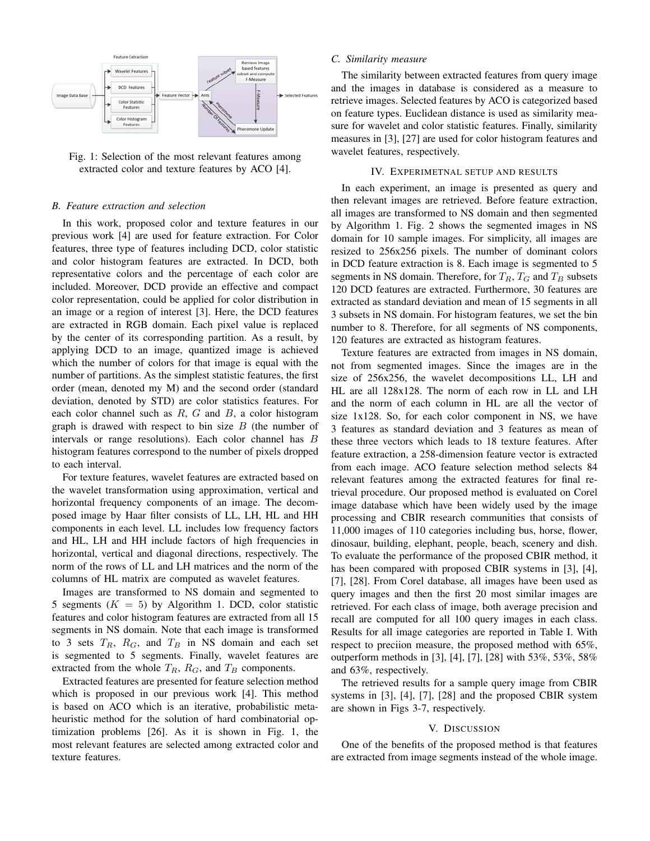

Fig. 1: Selection of the most relevant features among extracted color and texture features by ACO [4].

#### *B. Feature extraction and selection*

In this work, proposed color and texture features in our previous work [4] are used for feature extraction. For Color features, three type of features including DCD, color statistic and color histogram features are extracted. In DCD, both representative colors and the percentage of each color are included. Moreover, DCD provide an effective and compact color representation, could be applied for color distribution in an image or a region of interest [3]. Here, the DCD features are extracted in RGB domain. Each pixel value is replaced by the center of its corresponding partition. As a result, by applying DCD to an image, quantized image is achieved which the number of colors for that image is equal with the number of partitions. As the simplest statistic features, the first order (mean, denoted my M) and the second order (standard deviation, denoted by STD) are color statistics features. For each color channel such as  $R$ ,  $G$  and  $B$ , a color histogram graph is drawed with respect to bin size  $B$  (the number of intervals or range resolutions). Each color channel has B histogram features correspond to the number of pixels dropped to each interval.

For texture features, wavelet features are extracted based on the wavelet transformation using approximation, vertical and horizontal frequency components of an image. The decomposed image by Haar filter consists of LL, LH, HL and HH components in each level. LL includes low frequency factors and HL, LH and HH include factors of high frequencies in horizontal, vertical and diagonal directions, respectively. The norm of the rows of LL and LH matrices and the norm of the columns of HL matrix are computed as wavelet features.

Images are transformed to NS domain and segmented to 5 segments  $(K = 5)$  by Algorithm 1. DCD, color statistic features and color histogram features are extracted from all 15 segments in NS domain. Note that each image is transformed to 3 sets  $T_R$ ,  $R_G$ , and  $T_B$  in NS domain and each set is segmented to 5 segments. Finally, wavelet features are extracted from the whole  $T_R$ ,  $R_G$ , and  $T_B$  components.

Extracted features are presented for feature selection method which is proposed in our previous work [4]. This method is based on ACO which is an iterative, probabilistic metaheuristic method for the solution of hard combinatorial optimization problems [26]. As it is shown in Fig. 1, the most relevant features are selected among extracted color and texture features.

# *C. Similarity measure*

The similarity between extracted features from query image and the images in database is considered as a measure to retrieve images. Selected features by ACO is categorized based on feature types. Euclidean distance is used as similarity measure for wavelet and color statistic features. Finally, similarity measures in [3], [27] are used for color histogram features and wavelet features, respectively.

## IV. EXPERIMETNAL SETUP AND RESULTS

In each experiment, an image is presented as query and then relevant images are retrieved. Before feature extraction, all images are transformed to NS domain and then segmented by Algorithm 1. Fig. 2 shows the segmented images in NS domain for 10 sample images. For simplicity, all images are resized to 256x256 pixels. The number of dominant colors in DCD feature extraction is 8. Each image is segmented to 5 segments in NS domain. Therefore, for  $T_R$ ,  $T_G$  and  $T_B$  subsets 120 DCD features are extracted. Furthermore, 30 features are extracted as standard deviation and mean of 15 segments in all 3 subsets in NS domain. For histogram features, we set the bin number to 8. Therefore, for all segments of NS components, 120 features are extracted as histogram features.

Texture features are extracted from images in NS domain, not from segmented images. Since the images are in the size of 256x256, the wavelet decompositions LL, LH and HL are all 128x128. The norm of each row in LL and LH and the norm of each column in HL are all the vector of size 1x128. So, for each color component in NS, we have 3 features as standard deviation and 3 features as mean of these three vectors which leads to 18 texture features. After feature extraction, a 258-dimension feature vector is extracted from each image. ACO feature selection method selects 84 relevant features among the extracted features for final retrieval procedure. Our proposed method is evaluated on Corel image database which have been widely used by the image processing and CBIR research communities that consists of 11,000 images of 110 categories including bus, horse, flower, dinosaur, building, elephant, people, beach, scenery and dish. To evaluate the performance of the proposed CBIR method, it has been compared with proposed CBIR systems in [3], [4], [7], [28]. From Corel database, all images have been used as query images and then the first 20 most similar images are retrieved. For each class of image, both average precision and recall are computed for all 100 query images in each class. Results for all image categories are reported in Table I. With respect to preciion measure, the proposed method with 65%, outperform methods in [3], [4], [7], [28] with 53%, 53%, 58% and 63%, respectively.

The retrieved results for a sample query image from CBIR systems in [3], [4], [7], [28] and the proposed CBIR system are shown in Figs 3-7, respectively.

# V. DISCUSSION

One of the benefits of the proposed method is that features are extracted from image segments instead of the whole image.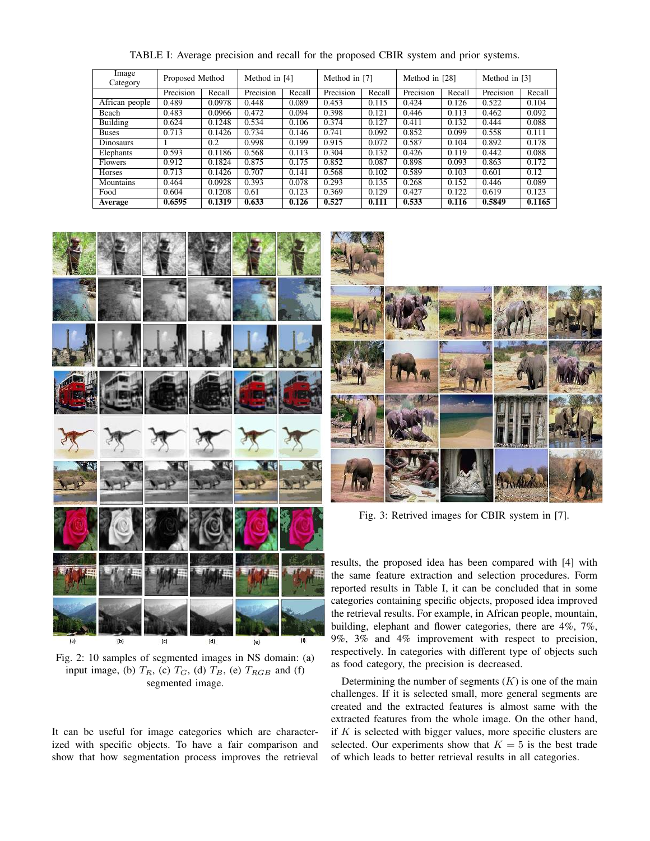| Image<br>Category | Proposed Method |        | Method in [4] |        | Method in [7] |        | Method in [28] |        | Method in [3] |        |
|-------------------|-----------------|--------|---------------|--------|---------------|--------|----------------|--------|---------------|--------|
|                   | Precision       | Recall | Precision     | Recall | Precision     | Recall | Precision      | Recall | Precision     | Recall |
| African people    | 0.489           | 0.0978 | 0.448         | 0.089  | 0.453         | 0.115  | 0.424          | 0.126  | 0.522         | 0.104  |
| Beach             | 0.483           | 0.0966 | 0.472         | 0.094  | 0.398         | 0.121  | 0.446          | 0.113  | 0.462         | 0.092  |
| Building          | 0.624           | 0.1248 | 0.534         | 0.106  | 0.374         | 0.127  | 0.411          | 0.132  | 0.444         | 0.088  |
| <b>Buses</b>      | 0.713           | 0.1426 | 0.734         | 0.146  | 0.741         | 0.092  | 0.852          | 0.099  | 0.558         | 0.111  |
| <b>Dinosaurs</b>  |                 | 0.2    | 0.998         | 0.199  | 0.915         | 0.072  | 0.587          | 0.104  | 0.892         | 0.178  |
| Elephants         | 0.593           | 0.1186 | 0.568         | 0.113  | 0.304         | 0.132  | 0.426          | 0.119  | 0.442         | 0.088  |
| <b>Flowers</b>    | 0.912           | 0.1824 | 0.875         | 0.175  | 0.852         | 0.087  | 0.898          | 0.093  | 0.863         | 0.172  |
| Horses            | 0.713           | 0.1426 | 0.707         | 0.141  | 0.568         | 0.102  | 0.589          | 0.103  | 0.601         | 0.12   |
| Mountains         | 0.464           | 0.0928 | 0.393         | 0.078  | 0.293         | 0.135  | 0.268          | 0.152  | 0.446         | 0.089  |
| Food              | 0.604           | 0.1208 | 0.61          | 0.123  | 0.369         | 0.129  | 0.427          | 0.122  | 0.619         | 0.123  |
| Average           | 0.6595          | 0.1319 | 0.633         | 0.126  | 0.527         | 0.111  | 0.533          | 0.116  | 0.5849        | 0.1165 |

TABLE I: Average precision and recall for the proposed CBIR system and prior systems.



Fig. 2: 10 samples of segmented images in NS domain: (a) input image, (b)  $T_R$ , (c)  $T_G$ , (d)  $T_B$ , (e)  $T_{RGB}$  and (f) segmented image.

It can be useful for image categories which are characterized with specific objects. To have a fair comparison and show that how segmentation process improves the retrieval



Fig. 3: Retrived images for CBIR system in [7].

results, the proposed idea has been compared with [4] with the same feature extraction and selection procedures. Form reported results in Table I, it can be concluded that in some categories containing specific objects, proposed idea improved the retrieval results. For example, in African people, mountain, building, elephant and flower categories, there are 4%, 7%, 9%, 3% and 4% improvement with respect to precision, respectively. In categories with different type of objects such as food category, the precision is decreased.

Determining the number of segments  $(K)$  is one of the main challenges. If it is selected small, more general segments are created and the extracted features is almost same with the extracted features from the whole image. On the other hand, if  $K$  is selected with bigger values, more specific clusters are selected. Our experiments show that  $K = 5$  is the best trade of which leads to better retrieval results in all categories.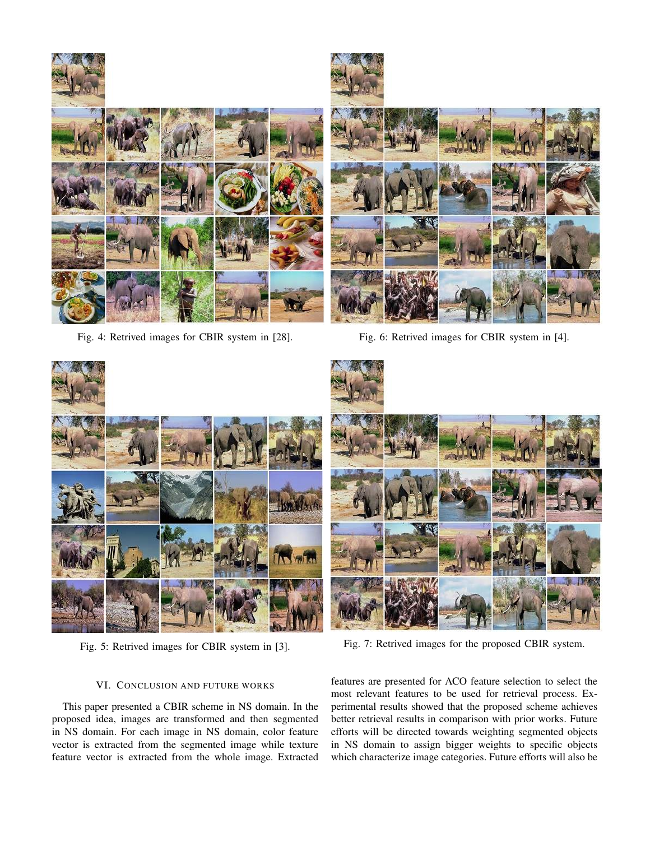

Fig. 4: Retrived images for CBIR system in [28].





Fig. 6: Retrived images for CBIR system in [4].



Fig. 5: Retrived images for CBIR system in [3].

# VI. CONCLUSION AND FUTURE WORKS

This paper presented a CBIR scheme in NS domain. In the proposed idea, images are transformed and then segmented in NS domain. For each image in NS domain, color feature vector is extracted from the segmented image while texture feature vector is extracted from the whole image. Extracted

features are presented for ACO feature selection to select the most relevant features to be used for retrieval process. Experimental results showed that the proposed scheme achieves better retrieval results in comparison with prior works. Future efforts will be directed towards weighting segmented objects in NS domain to assign bigger weights to specific objects which characterize image categories. Future efforts will also be

Fig. 7: Retrived images for the proposed CBIR system.